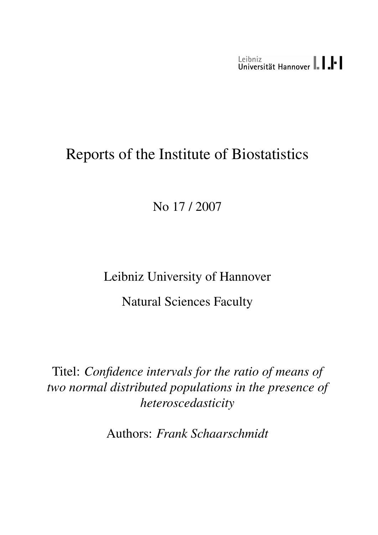Leibniz<br>Universität Hannover | | | | |

# Reports of the Institute of Biostatistics

No 17 / 2007

Leibniz University of Hannover

Natural Sciences Faculty

Titel: *Confidence intervals for the ratio of means of two normal distributed populations in the presence of heteroscedasticity*

Authors: *Frank Schaarschmidt*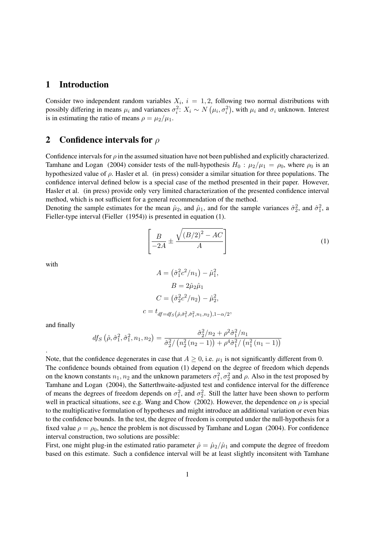#### 1 Introduction

Consider two independent random variables  $X_i$ ,  $i = 1, 2$ , following two normal distributions with possibly differing in means  $\mu_i$  and variances  $\sigma_i^2$ :  $X_i \sim N(\mu_i, \sigma_i^2)$ , with  $\mu_i$  and  $\sigma_i$  unknown. Interest is in estimating the ratio of means  $\rho = \mu_2/\mu_1$ .

#### 2 Confidence intervals for  $\rho$

Confidence intervals for  $\rho$  in the assumed situation have not been published and explicitly characterized. Tamhane and Logan (2004) consider tests of the null-hypothesis  $H_0$ :  $\mu_2/\mu_1 = \rho_0$ , where  $\rho_0$  is an hypothesized value of  $\rho$ . Hasler et al. (in press) consider a similar situation for three populations. The confidence interval defined below is a special case of the method presented in their paper. However, Hasler et al. (in press) provide only very limited characterization of the presented confidence interval method, which is not sufficient for a general recommendation of the method.

Denoting the sample estimates for the mean  $\hat{\mu}_2$ , and  $\hat{\mu}_1$ , and for the sample variances  $\hat{\sigma}_2^2$ , and  $\hat{\sigma}_1^2$ , a Fieller-type interval (Fieller (1954)) is presented in equation (1).

$$
\left[\frac{B}{-2A} \pm \frac{\sqrt{\left(B/2\right)^2 - AC}}{A}\right]
$$
\n(1)

with

$$
A = (\hat{\sigma}_1^2 c^2 / n_1) - \hat{\mu}_1^2,
$$
  
\n
$$
B = 2\hat{\mu}_2 \hat{\mu}_1
$$
  
\n
$$
C = (\hat{\sigma}_2^2 c^2 / n_2) - \hat{\mu}_2^2,
$$
  
\n
$$
c = t_{df = df_S(\hat{\rho}, \hat{\sigma}_1^2, \hat{\sigma}_1^2, n_1, n_2), 1 - \alpha/2},
$$

and finally

.

$$
df_S(\hat{\rho}, \hat{\sigma}_1^2, \hat{\sigma}_1^2, n_1, n_2) = \frac{\hat{\sigma}_2^2/n_2 + \rho^2 \hat{\sigma}_1^2/n_1}{\hat{\sigma}_2^2/\left(n_2^2(n_2 - 1)\right) + \rho^4 \hat{\sigma}_1^2/\left(n_1^2(n_1 - 1)\right)}
$$

Note, that the confidence degenerates in case that  $A \geq 0$ , i.e.  $\mu_1$  is not significantly different from 0. The confidence bounds obtained from equation (1) depend on the degree of freedom which depends on the known constants  $n_1, n_2$  and the unknown parameters  $\sigma_1^2, \sigma_2^2$  and  $\rho$ . Also in the test proposed by Tamhane and Logan (2004), the Satterthwaite-adjusted test and confidence interval for the difference of means the degrees of freedom depends on  $\sigma_1^2$ , and  $\sigma_2^2$ . Still the latter have been shown to perform well in practical situations, see e.g. Wang and Chow (2002). However, the dependence on  $\rho$  is special to the multiplicative formulation of hypotheses and might introduce an additional variation or even bias to the confidence bounds. In the test, the degree of freedom is computed under the null-hypothesis for a fixed value  $\rho = \rho_0$ , hence the problem is not discussed by Tamhane and Logan (2004). For confidence interval construction, two solutions are possible:

First, one might plug-in the estimated ratio parameter  $\hat{\rho} = \hat{\mu}_2 / \hat{\mu}_1$  and compute the degree of freedom based on this estimate. Such a confidence interval will be at least slightly inconsitent with Tamhane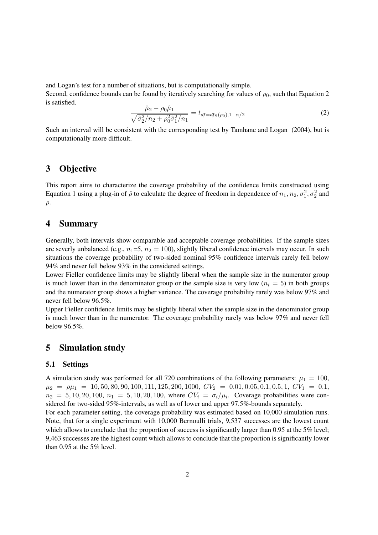and Logan's test for a number of situations, but is computationally simple.

Second, confidence bounds can be found by iteratively searching for values of  $\rho_0$ , such that Equation 2 is satisfied.

$$
\frac{\hat{\mu}_2 - \rho_0 \hat{\mu}_1}{\sqrt{\hat{\sigma}_2^2/n_2 + \rho_0^2 \hat{\sigma}_1^2/n_1}} = t_{df = df_S(\rho_0), 1 - \alpha/2}
$$
\n(2)

Such an interval will be consistent with the corresponding test by Tamhane and Logan (2004), but is computationally more difficult.

# 3 Objective

This report aims to characterize the coverage probability of the confidence limits constructed using Equation 1 using a plug-in of  $\hat{\rho}$  to calculate the degree of freedom in dependence of  $n_1, n_2, \sigma_1^2, \sigma_2^2$  and  $\rho$ .

## 4 Summary

Generally, both intervals show comparable and acceptable coverage probabilities. If the sample sizes are severly unbalanced (e.g.,  $n_1=5$ ,  $n_2=100$ ), slightly liberal confidence intervals may occur. In such situations the coverage probability of two-sided nominal 95% confidence intervals rarely fell below 94% and never fell below 93% in the considered settings.

Lower Fieller confidence limits may be slightly liberal when the sample size in the numerator group is much lower than in the denominator group or the sample size is very low  $(n_i = 5)$  in both groups and the numerator group shows a higher variance. The coverage probability rarely was below 97% and never fell below 96.5%.

Upper Fieller confidence limits may be slightly liberal when the sample size in the denominator group is much lower than in the numerator. The coverage probability rarely was below 97% and never fell below 96.5%.

## 5 Simulation study

#### 5.1 Settings

A simulation study was performed for all 720 combinations of the following parameters:  $\mu_1 = 100$ ,  $\mu_2 = \rho \mu_1 = 10, 50, 80, 90, 100, 111, 125, 200, 1000, CV_2 = 0.01, 0.05, 0.1, 0.5, 1, CV_1 = 0.1,$  $n_2 = 5, 10, 20, 100, n_1 = 5, 10, 20, 100$ , where  $CV_i = \sigma_i/\mu_i$ . Coverage probabilities were considered for two-sided 95%-intervals, as well as of lower and upper 97.5%-bounds separately.

For each parameter setting, the coverage probability was estimated based on 10,000 simulation runs. Note, that for a single experiment with 10,000 Bernoulli trials, 9,537 successes are the lowest count which allows to conclude that the proportion of success is significantly larger than 0.95 at the 5% level; 9,463 successes are the highest count which allows to conclude that the proportion is significantly lower than 0.95 at the 5% level.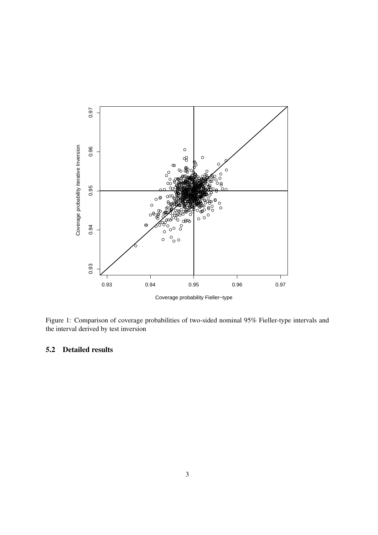

Figure 1: Comparison of coverage probabilities of two-sided nominal 95% Fieller-type intervals and the interval derived by test inversion

#### $5.2$ **Detailed results**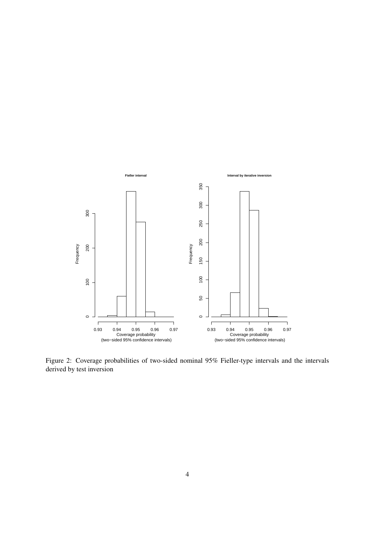

Figure 2: Coverage probabilities of two-sided nominal 95% Fieller-type intervals and the intervals derived by test inversion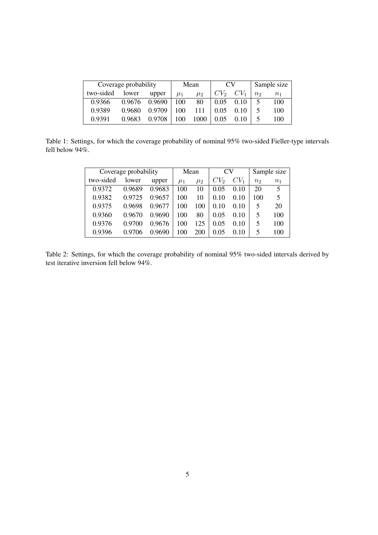| Coverage probability |        |        | Mean    |         | CV <sub>1</sub> |        | Sample size       |       |
|----------------------|--------|--------|---------|---------|-----------------|--------|-------------------|-------|
| two-sided            | lower  | upper  | $\mu_1$ | $\mu_2$ | $CV_2$          | $CV_1$ | $n_{\mathcal{D}}$ | $n_1$ |
| 0.9366               | 0.9676 | 0.9690 | 100     | 80      | 0.05            | 0.10   |                   | 100   |
| 0.9389               | 0.9680 | 0.9709 | 100     | 111     | 0.05            | 0.10   |                   | 100   |
| 0.9391               | 0.9683 | 0.9708 | 100     | 1000    | 0.05            |        |                   | 100   |

Table 1: Settings, for which the coverage probability of nominal 95% two-sided Fieller-type intervals fell below 94%.

| Coverage probability |        |        | Mean    |         | CV     |        | Sample size    |                |
|----------------------|--------|--------|---------|---------|--------|--------|----------------|----------------|
| two-sided            | lower  | upper  | $\mu_1$ | $\mu_2$ | $CV_2$ | $CV_1$ | n <sub>2</sub> | n <sub>1</sub> |
| 0.9372               | 0.9689 | 0.9683 | 100     | 10      | 0.05   | 0.10   | 20             | 5              |
| 0.9382               | 0.9725 | 0.9657 | 100     | 10      | 0.10   | 0.10   | 100            | 5              |
| 0.9375               | 0.9698 | 0.9677 | 100     | 100     | 0.10   | 0.10   | 5              | 20             |
| 0.9360               | 0.9670 | 0.9690 | 100     | 80      | 0.05   | 0.10   | 5              | 100            |
| 0.9376               | 0.9700 | 0.9676 | 100     | 125     | 0.05   | 0.10   | 5              | 100            |
| 0.9396               | 0.9706 | 0.9690 | 100     | 200     | 0.05   | 0.10   | 5              | 100            |

Table 2: Settings, for which the coverage probability of nominal 95% two-sided intervals derived by test iterative inversion fell below 94%.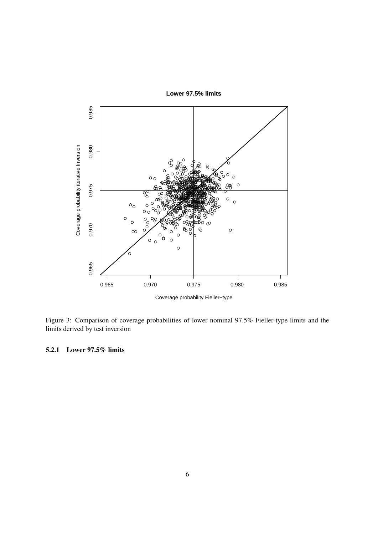

Figure 3: Comparison of coverage probabilities of lower nominal 97.5% Fieller-type limits and the limits derived by test inversion

5.2.1 Lower 97.5% limits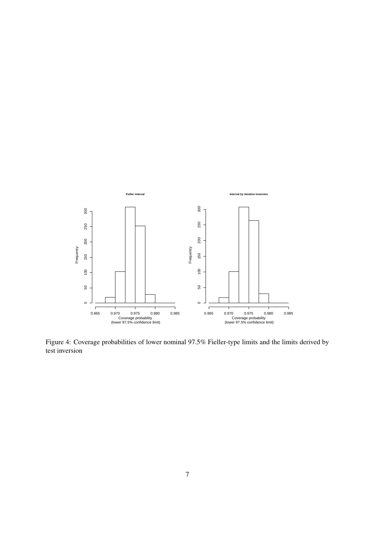

Figure 4: Coverage probabilities of lower nominal 97.5% Fieller-type limits and the limits derived by test inversion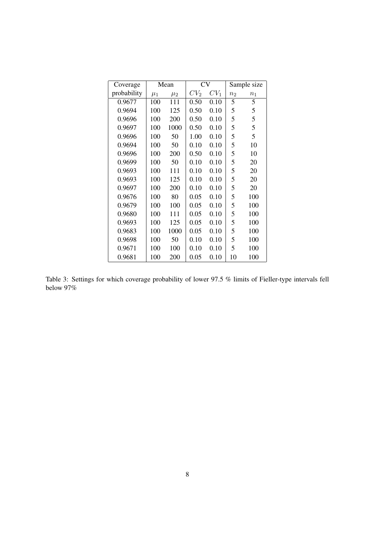| Coverage    | Mean    |         | <b>CV</b> |        | Sample size    |         |
|-------------|---------|---------|-----------|--------|----------------|---------|
| probability | $\mu_1$ | $\mu_2$ | $CV_2$    | $CV_1$ | n <sub>2</sub> | $n_{1}$ |
| 0.9677      | 100     | 111     | 0.50      | 0.10   | 5              | 5       |
| 0.9694      | 100     | 125     | 0.50      | 0.10   | 5              | 5       |
| 0.9696      | 100     | 200     | 0.50      | 0.10   | 5              | 5       |
| 0.9697      | 100     | 1000    | 0.50      | 0.10   | 5              | 5       |
| 0.9696      | 100     | 50      | 1.00      | 0.10   | 5              | 5       |
| 0.9694      | 100     | 50      | 0.10      | 0.10   | 5              | 10      |
| 0.9696      | 100     | 200     | 0.50      | 0.10   | 5              | 10      |
| 0.9699      | 100     | 50      | 0.10      | 0.10   | 5              | 20      |
| 0.9693      | 100     | 111     | 0.10      | 0.10   | 5              | 20      |
| 0.9693      | 100     | 125     | 0.10      | 0.10   | 5              | 20      |
| 0.9697      | 100     | 200     | 0.10      | 0.10   | 5              | 20      |
| 0.9676      | 100     | 80      | 0.05      | 0.10   | 5              | 100     |
| 0.9679      | 100     | 100     | 0.05      | 0.10   | 5              | 100     |
| 0.9680      | 100     | 111     | 0.05      | 0.10   | 5              | 100     |
| 0.9693      | 100     | 125     | 0.05      | 0.10   | 5              | 100     |
| 0.9683      | 100     | 1000    | 0.05      | 0.10   | 5              | 100     |
| 0.9698      | 100     | 50      | 0.10      | 0.10   | 5              | 100     |
| 0.9671      | 100     | 100     | 0.10      | 0.10   | 5              | 100     |
| 0.9681      | 100     | 200     | 0.05      | 0.10   | 10             | 100     |

Table 3: Settings for which coverage probability of lower 97.5 % limits of Fieller-type intervals fell below 97%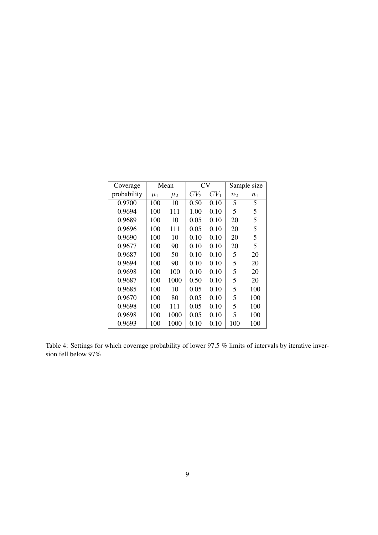| Coverage    |         | Mean    | <b>CV</b>       |        | Sample size    |         |
|-------------|---------|---------|-----------------|--------|----------------|---------|
| probability | $\mu_1$ | $\mu_2$ | CV <sub>2</sub> | $CV_1$ | n <sub>2</sub> | $n_{1}$ |
| 0.9700      | 100     | 10      | 0.50            | 0.10   | 5              | 5       |
| 0.9694      | 100     | 111     | 1.00            | 0.10   | 5              | 5       |
| 0.9689      | 100     | 10      | 0.05            | 0.10   | 20             | 5       |
| 0.9696      | 100     | 111     | 0.05            | 0.10   | 20             | 5       |
| 0.9690      | 100     | 10      | 0.10            | 0.10   | 20             | 5       |
| 0.9677      | 100     | 90      | 0.10            | 0.10   | 20             | 5       |
| 0.9687      | 100     | 50      | 0.10            | 0.10   | 5              | 20      |
| 0.9694      | 100     | 90      | 0.10            | 0.10   | 5              | 20      |
| 0.9698      | 100     | 100     | 0.10            | 0.10   | 5              | 20      |
| 0.9687      | 100     | 1000    | 0.50            | 0.10   | 5              | 20      |
| 0.9685      | 100     | 10      | 0.05            | 0.10   | 5              | 100     |
| 0.9670      | 100     | 80      | 0.05            | 0.10   | 5              | 100     |
| 0.9698      | 100     | 111     | 0.05            | 0.10   | 5              | 100     |
| 0.9698      | 100     | 1000    | 0.05            | 0.10   | 5              | 100     |
| 0.9693      | 100     | 1000    | 0.10            | 0.10   | 100            | 100     |

Table 4: Settings for which coverage probability of lower 97.5 % limits of intervals by iterative inversion fell below 97%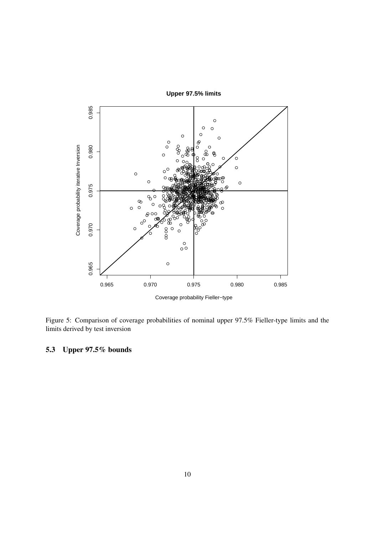

Figure 5: Comparison of coverage probabilities of nominal upper 97.5% Fieller-type limits and the limits derived by test inversion

Upper 97.5% bounds  $5.3$ 

Upper 97.5% limits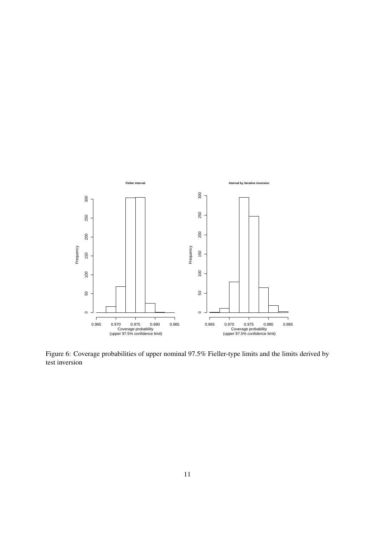

Figure 6: Coverage probabilities of upper nominal 97.5% Fieller-type limits and the limits derived by test inversion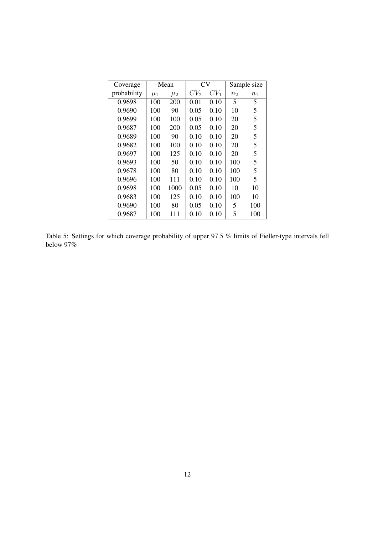| Coverage    | Mean    |         | CV     |        | Sample size    |       |
|-------------|---------|---------|--------|--------|----------------|-------|
| probability | $\mu_1$ | $\mu_2$ | $CV_2$ | $CV_1$ | n <sub>2</sub> | $n_1$ |
| 0.9698      | 100     | 200     | 0.01   | 0.10   | 5              | 5     |
| 0.9690      | 100     | 90      | 0.05   | 0.10   | 10             | 5     |
| 0.9699      | 100     | 100     | 0.05   | 0.10   | 20             | 5     |
| 0.9687      | 100     | 200     | 0.05   | 0.10   | 20             | 5     |
| 0.9689      | 100     | 90      | 0.10   | 0.10   | 20             | 5     |
| 0.9682      | 100     | 100     | 0.10   | 0.10   | 20             | 5     |
| 0.9697      | 100     | 125     | 0.10   | 0.10   | 20             | 5     |
| 0.9693      | 100     | 50      | 0.10   | 0.10   | 100            | 5     |
| 0.9678      | 100     | 80      | 0.10   | 0.10   | 100            | 5     |
| 0.9696      | 100     | 111     | 0.10   | 0.10   | 100            | 5     |
| 0.9698      | 100     | 1000    | 0.05   | 0.10   | 10             | 10    |
| 0.9683      | 100     | 125     | 0.10   | 0.10   | 100            | 10    |
| 0.9690      | 100     | 80      | 0.05   | 0.10   | 5              | 100   |
| 0.9687      | 100     | 111     | 0.10   | 0.10   | 5              | 100   |

Table 5: Settings for which coverage probability of upper 97.5 % limits of Fieller-type intervals fell below 97%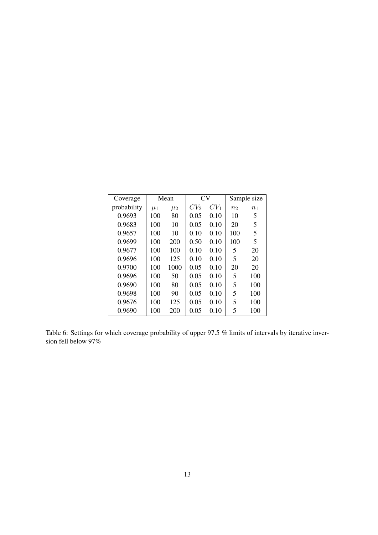| Coverage    | Mean    |         | CV     |        | Sample size    |         |
|-------------|---------|---------|--------|--------|----------------|---------|
| probability | $\mu_1$ | $\mu_2$ | $CV_2$ | $CV_1$ | n <sub>2</sub> | $n_{1}$ |
| 0.9693      | 100     | 80      | 0.05   | 0.10   | 10             | 5       |
| 0.9683      | 100     | 10      | 0.05   | 0.10   | 20             | 5       |
| 0.9657      | 100     | 10      | 0.10   | 0.10   | 100            | 5       |
| 0.9699      | 100     | 200     | 0.50   | 0.10   | 100            | 5       |
| 0.9677      | 100     | 100     | 0.10   | 0.10   | 5              | 20      |
| 0.9696      | 100     | 125     | 0.10   | 0.10   | 5              | 20      |
| 0.9700      | 100     | 1000    | 0.05   | 0.10   | 20             | 20      |
| 0.9696      | 100     | 50      | 0.05   | 0.10   | 5              | 100     |
| 0.9690      | 100     | 80      | 0.05   | 0.10   | 5              | 100     |
| 0.9698      | 100     | 90      | 0.05   | 0.10   | 5              | 100     |
| 0.9676      | 100     | 125     | 0.05   | 0.10   | 5              | 100     |
| 0.9690      | 100     | 200     | 0.05   | 0.10   | 5              | 100     |

Table 6: Settings for which coverage probability of upper 97.5 % limits of intervals by iterative inversion fell below 97%